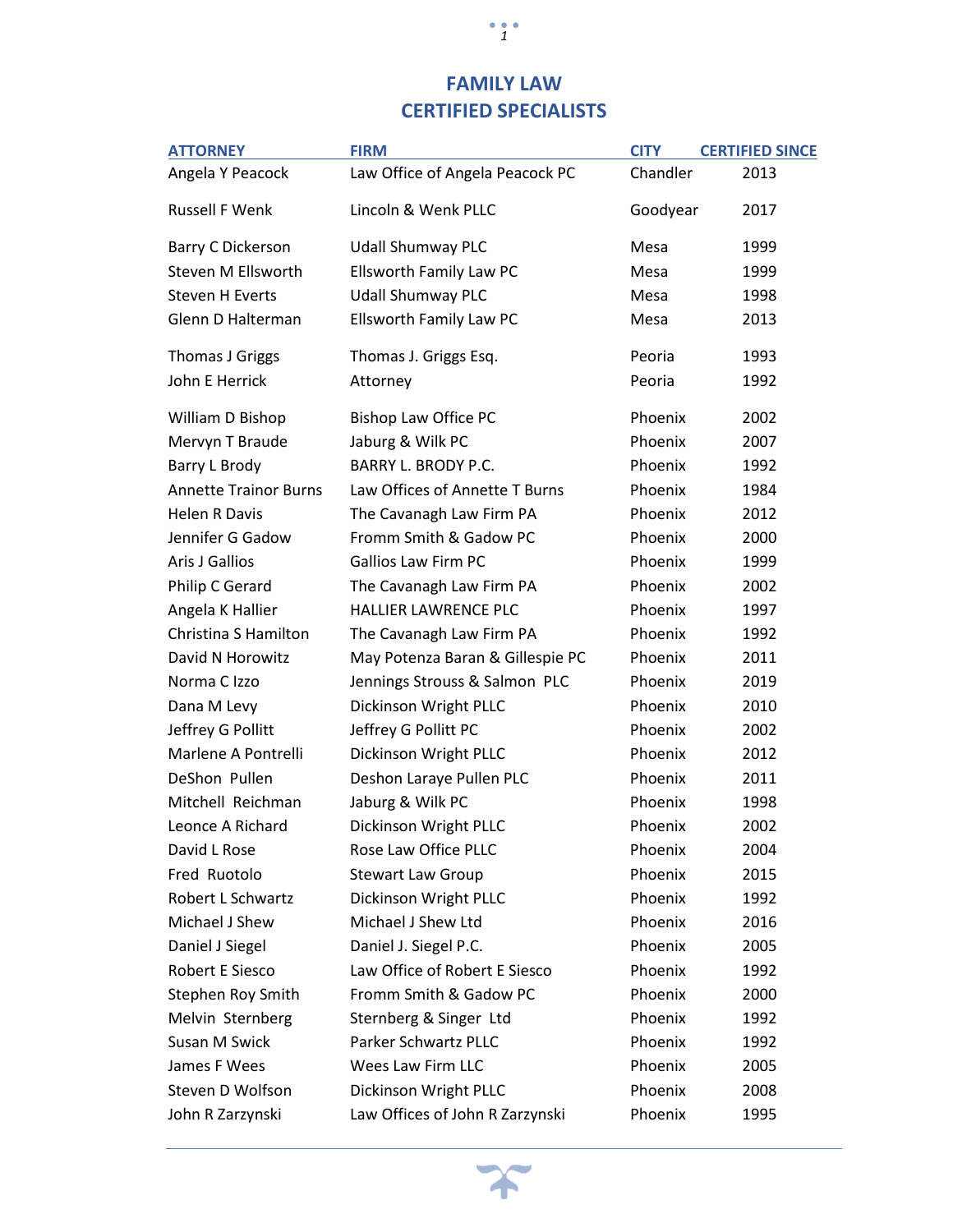## **FAMILY LAW CERTIFIED SPECIALISTS**

| <b>ATTORNEY</b>              | <b>FIRM</b>                      | <b>CITY</b> | <b>CERTIFIED SINCE</b> |
|------------------------------|----------------------------------|-------------|------------------------|
| Angela Y Peacock             | Law Office of Angela Peacock PC  | Chandler    | 2013                   |
| <b>Russell F Wenk</b>        | Lincoln & Wenk PLLC              | Goodyear    | 2017                   |
| Barry C Dickerson            | <b>Udall Shumway PLC</b>         | Mesa        | 1999                   |
| Steven M Ellsworth           | Ellsworth Family Law PC          | Mesa        | 1999                   |
| <b>Steven H Everts</b>       | <b>Udall Shumway PLC</b>         | Mesa        | 1998                   |
| Glenn D Halterman            | Ellsworth Family Law PC          | Mesa        | 2013                   |
| Thomas J Griggs              | Thomas J. Griggs Esq.            | Peoria      | 1993                   |
| John E Herrick               | Attorney                         | Peoria      | 1992                   |
| William D Bishop             | Bishop Law Office PC             | Phoenix     | 2002                   |
| Mervyn T Braude              | Jaburg & Wilk PC                 | Phoenix     | 2007                   |
| Barry L Brody                | <b>BARRY L. BRODY P.C.</b>       | Phoenix     | 1992                   |
| <b>Annette Trainor Burns</b> | Law Offices of Annette T Burns   | Phoenix     | 1984                   |
| <b>Helen R Davis</b>         | The Cavanagh Law Firm PA         | Phoenix     | 2012                   |
| Jennifer G Gadow             | Fromm Smith & Gadow PC           | Phoenix     | 2000                   |
| <b>Aris J Gallios</b>        | <b>Gallios Law Firm PC</b>       | Phoenix     | 1999                   |
| Philip C Gerard              | The Cavanagh Law Firm PA         | Phoenix     | 2002                   |
| Angela K Hallier             | <b>HALLIER LAWRENCE PLC</b>      | Phoenix     | 1997                   |
| Christina S Hamilton         | The Cavanagh Law Firm PA         | Phoenix     | 1992                   |
| David N Horowitz             | May Potenza Baran & Gillespie PC | Phoenix     | 2011                   |
| Norma C Izzo                 | Jennings Strouss & Salmon PLC    | Phoenix     | 2019                   |
| Dana M Levy                  | Dickinson Wright PLLC            | Phoenix     | 2010                   |
| Jeffrey G Pollitt            | Jeffrey G Pollitt PC             | Phoenix     | 2002                   |
| Marlene A Pontrelli          | Dickinson Wright PLLC            | Phoenix     | 2012                   |
| DeShon Pullen                | Deshon Laraye Pullen PLC         | Phoenix     | 2011                   |
| Mitchell Reichman            | Jaburg & Wilk PC                 | Phoenix     | 1998                   |
| Leonce A Richard             | Dickinson Wright PLLC            | Phoenix     | 2002                   |
| David L Rose                 | Rose Law Office PLLC             | Phoenix     | 2004                   |
| Fred Ruotolo                 | <b>Stewart Law Group</b>         | Phoenix     | 2015                   |
| Robert L Schwartz            | Dickinson Wright PLLC            | Phoenix     | 1992                   |
| Michael J Shew               | Michael J Shew Ltd               | Phoenix     | 2016                   |
| Daniel J Siegel              | Daniel J. Siegel P.C.            | Phoenix     | 2005                   |
| Robert E Siesco              | Law Office of Robert E Siesco    | Phoenix     | 1992                   |
| Stephen Roy Smith            | Fromm Smith & Gadow PC           | Phoenix     | 2000                   |
| Melvin Sternberg             | Sternberg & Singer Ltd           | Phoenix     | 1992                   |
| Susan M Swick                | Parker Schwartz PLLC             | Phoenix     | 1992                   |
| James F Wees                 | Wees Law Firm LLC                | Phoenix     | 2005                   |
| Steven D Wolfson             | Dickinson Wright PLLC            | Phoenix     | 2008                   |
| John R Zarzynski             | Law Offices of John R Zarzynski  | Phoenix     | 1995                   |